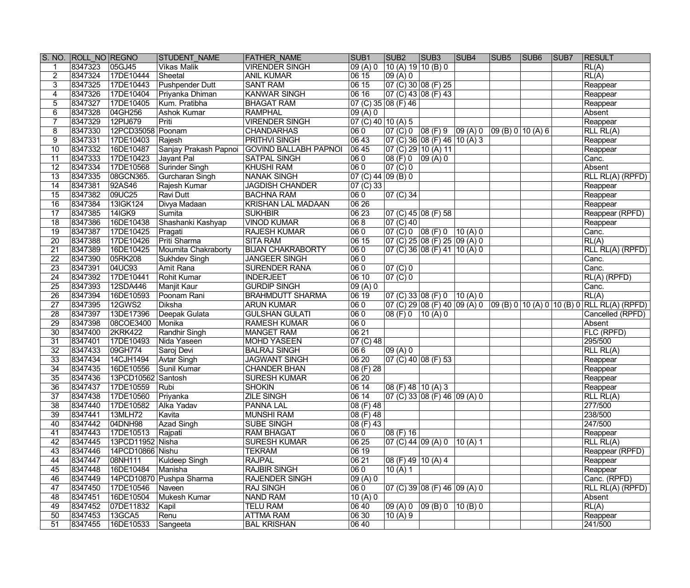|                 | S. NO. ROLL NO REGNO |                    | <b>STUDENT NAME</b>      | <b>FATHER NAME</b>                          | SUB <sub>1</sub>    | SUB <sub>2</sub>                             | SUB <sub>3</sub>                                                           | SUB4   | SUB <sub>5</sub> | SUB <sub>6</sub> | SUB7 | <b>RESULT</b>                                                            |
|-----------------|----------------------|--------------------|--------------------------|---------------------------------------------|---------------------|----------------------------------------------|----------------------------------------------------------------------------|--------|------------------|------------------|------|--------------------------------------------------------------------------|
|                 | 8347323              | 05GJ45             | <b>Vikas Malik</b>       | <b>VIRENDER SINGH</b>                       | 09(A)0              | 10 (A) 19 10 (B) 0                           |                                                                            |        |                  |                  |      | RL(A)                                                                    |
| $\overline{2}$  | 8347324              | 17DE10444          | Sheetal                  | <b>ANIL KUMAR</b>                           | 0615                | 09(A) 0                                      |                                                                            |        |                  |                  |      | RL(A)                                                                    |
| $\overline{3}$  | 8347325              | 17DE10443          | <b>Pushpender Dutt</b>   | <b>SANT RAM</b>                             | 0615                |                                              | 07 (C) 30 08 (F) 25                                                        |        |                  |                  |      | Reappear                                                                 |
| 4               | 8347326              | 17DE10404          | Priyanka Dhiman          | <b>KANWAR SINGH</b>                         | 0616                |                                              | 07 (C) 43   08 (F) 43                                                      |        |                  |                  |      | Reappear                                                                 |
| 5               | 8347327              | 17DE10405          | Kum. Pratibha            | <b>BHAGAT RAM</b>                           | 07 (C) 35 08 (F) 46 |                                              |                                                                            |        |                  |                  |      | Reappear                                                                 |
| 6               | 8347328              | 04GH256            | Ashok Kumar              | <b>RAMPHAL</b>                              | 09(A)0              |                                              |                                                                            |        |                  |                  |      | Absent                                                                   |
| 7               | 8347329              | 12PIJ679           | Priti                    | <b>VIRENDER SINGH</b>                       | 07 (C) 40 10 (A) 5  |                                              |                                                                            |        |                  |                  |      | Reappear                                                                 |
| 8               | 8347330              | 12PCD35058         | Poonam                   | <b>CHANDARHAS</b>                           | 060                 |                                              | $\boxed{07 (C) 0 \mid 08 (F) 9 \mid 09 (A) 0 \mid 09 (B) 0 \mid 10 (A) 6}$ |        |                  |                  |      | RLL RL(A)                                                                |
| 9               | 8347331              | 17DE10403          | Rajesh                   | <b>PRITHVI SINGH</b>                        | 06 43               |                                              | $\overline{07}$ (C) 36 08 (F) 46 10 (A) 3                                  |        |                  |                  |      | Reappear                                                                 |
| $\overline{10}$ | 8347332              | 16DE10487          |                          | Sanjay Prakash Papnoi GOVIND BALLABH PAPNOI | 0645                |                                              | $\overline{07}$ (C) 29 10 (A) 11                                           |        |                  |                  |      | Reappear                                                                 |
| $\overline{11}$ | 8347333              | 17DE10423          | Jayant Pal               | <b>SATPAL SINGH</b>                         | $ 060\rangle$       | 08(F) 0  09(A) 0                             |                                                                            |        |                  |                  |      | Canc.                                                                    |
| $\overline{12}$ | 8347334              | 17DE10568          | Surinder Singh           | <b>KHUSHI RAM</b>                           | $\overline{060}$    | 07()0                                        |                                                                            |        |                  |                  |      | Absent                                                                   |
| $\overline{13}$ | 8347335              | 08GCN365.          | Gurcharan Singh          | <b>NANAK SINGH</b>                          | 07 (C) 44 09 (B) 0  |                                              |                                                                            |        |                  |                  |      | <b>RLL RL(A) (RPFD)</b>                                                  |
| $\overline{14}$ | 8347381              | 92AS46             | Rajesh Kumar             | <b>JAGDISH CHANDER</b>                      | $07($ C $)33$       |                                              |                                                                            |        |                  |                  |      | Reappear                                                                 |
| $\overline{15}$ | 8347382              | 09UC25             | <b>Ravi Dutt</b>         | <b>BACHNA RAM</b>                           | 060                 | $ 07 \rangle (C) 34$                         |                                                                            |        |                  |                  |      | Reappear                                                                 |
| $\overline{16}$ | 8347384              | 13IGK124           | Divya Madaan             | <b>KRISHAN LAL MADAAN</b>                   | 0626                |                                              |                                                                            |        |                  |                  |      | Reappear                                                                 |
| $\overline{17}$ | 8347385              | 14IGK9             | <b>Sumita</b>            | <b>SUKHBIR</b>                              | 0623                |                                              | $07$ (C) 45 08 (F) 58                                                      |        |                  |                  |      | Reappear (RPFD)                                                          |
| $\overline{18}$ | 8347386              | 16DE10438          | Shashanki Kashyap        | <b>VINOD KUMAR</b>                          | $\overline{068}$    | 07 (C) 40                                    |                                                                            |        |                  |                  |      | Reappear                                                                 |
| $\overline{19}$ | 8347387              | 17DE10425          | Pragati                  | <b>RAJESH KUMAR</b>                         | 060                 |                                              | 07 (C) 0  08 (F) 0                                                         | 10(A)0 |                  |                  |      | Canc.                                                                    |
| $\overline{20}$ | 8347388              | 17DE10426          | Priti Sharma             | <b>SITA RAM</b>                             | 0615                |                                              | 07 (C) 25  08 (F) 25  09 (A) 0                                             |        |                  |                  |      | $\overline{RL(A)}$                                                       |
| $\overline{21}$ | 8347389              | 16DE10425          | Moumita Chakraborty      | <b>BIJAN CHAKRABORTY</b>                    | 060                 |                                              | 07 (C) 36 08 (F) 41 10 (A) 0                                               |        |                  |                  |      | RLL RL(A) (RPFD)                                                         |
| $\overline{22}$ | 8347390              | 05RK208            | <b>Sukhdev Singh</b>     | <b>JANGEER SINGH</b>                        | $ 060\rangle$       |                                              |                                                                            |        |                  |                  |      | Canc.                                                                    |
| $\overline{23}$ | 8347391              | 04UC93             | Amit Rana                | <b>SURENDER RANA</b>                        | 060                 | 07 (C) 0                                     |                                                                            |        |                  |                  |      | Canc.                                                                    |
| $\overline{24}$ | 8347392              | 17DE10441          | <b>Rohit Kumar</b>       | <b>INDERJEET</b>                            | 06 10               | 07 (C) 0                                     |                                                                            |        |                  |                  |      | RL(A) (RPFD)                                                             |
| $\overline{25}$ | 8347393              | 12SDA446           | Manjit Kaur              | <b>GURDIP SINGH</b>                         | 09(A)0              |                                              |                                                                            |        |                  |                  |      | Canc.                                                                    |
| $\overline{26}$ | 8347394              | 16DE10593          | Poonam Rani              | <b>BRAHMDUTT SHARMA</b>                     | 06 19               | $\overline{07}$ (C) 33 08 (F) 0              |                                                                            | 10(A)0 |                  |                  |      | RL(A)                                                                    |
| $\overline{27}$ | 8347395              | <b>12GWS2</b>      | <b>Diksha</b>            | <b>ARUN KUMAR</b>                           | $\overline{060}$    |                                              |                                                                            |        |                  |                  |      | 07 (C) 29 08 (F) 40 09 (A) 0 09 (B) 0 10 (A) 0 10 (B) 0 RLL RL(A) (RPFD) |
| $\overline{28}$ | 8347397              | 13DE17396          | Deepak Gulata            | <b>GULSHAN GULATI</b>                       | 060                 | $ 08$ (F) 0 $ 10$ (A) 0                      |                                                                            |        |                  |                  |      | Cancelled (RPFD)                                                         |
| $\overline{29}$ | 8347398              | 08COE3400          | Monika                   | <b>RAMESH KUMAR</b>                         | 060                 |                                              |                                                                            |        |                  |                  |      | Absent                                                                   |
| $\overline{30}$ | 8347400              | <b>2KRK422</b>     | Randhir Singh            | <b>MANGET RAM</b>                           | 06 21               |                                              |                                                                            |        |                  |                  |      | FLC (RPFD)                                                               |
| $\overline{31}$ | 8347401              | 17DE10493          | Nida Yaseen              | <b>MOHD YASEEN</b>                          | 07(C)48             |                                              |                                                                            |        |                  |                  |      | 295/500                                                                  |
| $\overline{32}$ | 8347433              | 09GH774            | Saroj Devi               | <b>BALRAJ SINGH</b>                         | 066                 | 09 (A) 0                                     |                                                                            |        |                  |                  |      | RLL R <sub>L</sub> (A)                                                   |
| $\overline{33}$ | 8347434              | 14CJH1494          | Avtar Singh              | <b>JAGWANT SINGH</b>                        | 0620                |                                              | 07 (C) 40  08 (F) 53                                                       |        |                  |                  |      | Reappear                                                                 |
| $\overline{34}$ | 8347435              | 16DE10556          | Sunil Kumar              | <b>CHANDER BHAN</b>                         | 08(F) 28            |                                              |                                                                            |        |                  |                  |      | Reappear                                                                 |
| $\overline{35}$ | 8347436              | 13PCD10562 Santosh |                          | <b>SURESH KUMAR</b>                         | 0620                |                                              |                                                                            |        |                  |                  |      | Reappear                                                                 |
| $\overline{36}$ | 8347437              | 17DE10559          | Rubi                     | <b>SHOKIN</b>                               | 0614                | $\overline{)08($ F) 48 $\overline{)10($ A) 3 |                                                                            |        |                  |                  |      | Reappear                                                                 |
| 37              | 8347438              | 17DE10560          | Priyanka                 | <b>ZILE SINGH</b>                           | 06 14               |                                              | $\boxed{07}$ (C) 33 08 (F) 46 09 (A) 0                                     |        |                  |                  |      | RLLRL(A)                                                                 |
| $\overline{38}$ | 8347440              | 17DE10582          | <b>Alka Yadav</b>        | <b>PANNA LAL</b>                            | 08(F)48             |                                              |                                                                            |        |                  |                  |      | 277/500                                                                  |
| $\overline{39}$ | 8347441              | <b>13MLH72</b>     | Kavita                   | <b>MUNSHI RAM</b>                           | 08(F)48             |                                              |                                                                            |        |                  |                  |      | 238/500                                                                  |
| 40              | 8347442              | 04DNH98            | <b>Azad Singh</b>        | <b>SUBE SINGH</b>                           | 08(F)43             |                                              |                                                                            |        |                  |                  |      | 247/500                                                                  |
| 41              | 8347443              | 17DE10513          | Rajpati                  | <b>RAM BHAGAT</b>                           | 060                 | 08 (F) 16                                    |                                                                            |        |                  |                  |      | Reappear                                                                 |
| 42              | 8347445              | 13PCD11952 Nisha   |                          | <b>SURESH KUMAR</b>                         | 0625                | 07 (C) 44  09 (A) 0                          |                                                                            | 10(A)1 |                  |                  |      | <b>RLL RL(A)</b>                                                         |
| 43              | 8347446              | 14PCD10866 Nishu   |                          | <b>TEKRAM</b>                               | 06 19               |                                              |                                                                            |        |                  |                  |      | Reappear (RPFD)                                                          |
| 44              | 8347447              | 08NH111            | Kuldeep Singh            | <b>RAJPAL</b>                               | 06 21               | 08 (F) 49 10 (A) 4                           |                                                                            |        |                  |                  |      | Reappear                                                                 |
| 45              | 8347448              | 16DE10484          | Manisha                  | <b>RAJBIR SINGH</b>                         | 060                 | 10 $(A)$ 1                                   |                                                                            |        |                  |                  |      | Reappear                                                                 |
| 46              | 8347449              |                    | 14PCD10870 Pushpa Sharma | <b>RAJENDER SINGH</b>                       | 09(A)0              |                                              |                                                                            |        |                  |                  |      | Canc. (RPFD)                                                             |
| 47              | 8347450              | 17DE10546          | Naveen                   | <b>RAJ SINGH</b>                            | 060                 |                                              | 07 (C) 39  08 (F) 46  09 (A) 0                                             |        |                  |                  |      | RLL RL(A) (RPFD)                                                         |
| 48              | 8347451              | 16DE10504          | <b>Mukesh Kumar</b>      | <b>NAND RAM</b>                             | 10(A)0              |                                              |                                                                            |        |                  |                  |      | Absent                                                                   |
| 49              | 8347452              | 07DE11832          | Kapil                    | <b>TELU RAM</b>                             | 06 40               | 09(A) 0 09(B) 0                              |                                                                            | 10(B)0 |                  |                  |      | RL(A)                                                                    |
| 50              | 8347453              | 13GCA5             | Renu                     | <b>ATTMA RAM</b>                            | 0630                | 10(A)9                                       |                                                                            |        |                  |                  |      | Reappear                                                                 |
| 51              | 8347455              | 16DE10533          | Sangeeta                 | <b>BAL KRISHAN</b>                          | 0640                |                                              |                                                                            |        |                  |                  |      | 241/500                                                                  |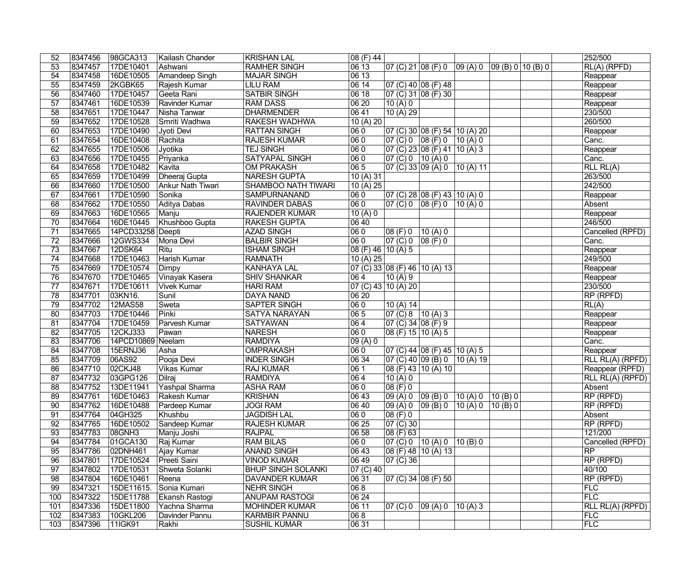| 52              | 8347456 | 98GCA313          | Kailash Chander    | <b>KRISHAN LAL</b>        | 08 (F) 44          |                                             |                                                                                                           |          |          |  | 252/500                                          |
|-----------------|---------|-------------------|--------------------|---------------------------|--------------------|---------------------------------------------|-----------------------------------------------------------------------------------------------------------|----------|----------|--|--------------------------------------------------|
| 53              | 8347457 | 17DE10401         | Ashwani            | <b>RAMHER SINGH</b>       | 0613               | $ 07 \rangle$ (C) 21 $ 08 \rangle$ (F) 0    |                                                                                                           |          |          |  | RL(A) (RPFD)                                     |
| $\overline{54}$ | 8347458 | 16DE10505         | Amandeep Singh     | <b>MAJAR SINGH</b>        | 0613               |                                             |                                                                                                           |          |          |  | Reappear                                         |
| 55              | 8347459 | 2KGBK65           | Rajesh Kumar       | <b>LILU RAM</b>           | 0614               |                                             | 07 (C) 40  08 (F) 48                                                                                      |          |          |  | Reappear                                         |
| $\overline{56}$ | 8347460 | 17DE10457         | Geeta Rani         | <b>SATBIR SINGH</b>       | 0618               |                                             | 07 (C) 31 08 (F) 30                                                                                       |          |          |  | Reappear                                         |
| $\overline{57}$ | 8347461 | 16DE10539         | Ravinder Kumar     | <b>RAM DASS</b>           | 0620               | 10(A)0                                      |                                                                                                           |          |          |  | Reappear                                         |
| $\overline{58}$ | 8347651 | 17DE10447         | Nisha Tanwar       | <b>DHARMENDER</b>         | 0641               | 10(A) 29                                    |                                                                                                           |          |          |  | 230/500                                          |
| 59              | 8347652 | 17DE10528         | Smriti Wadhwa      | <b>RAKESH WADHWA</b>      | 10(A)20            |                                             |                                                                                                           |          |          |  | 260/500                                          |
| 60              | 8347653 | 17DE10490         | Jyoti Devi         | <b>RATTAN SINGH</b>       | 060                |                                             | $ 07$ (C) 30 08 (F) 54 10 (A) 20                                                                          |          |          |  | Reappear                                         |
| 61              | 8347654 | 16DE10408         | Rachita            | <b>RAJESH KUMAR</b>       | $ 060\rangle$      |                                             | $\begin{array}{ c c c c c c c c } \hline 07 & (C) & 0 & 08 & (F) & 0 & 10 & (A) & 0 \ \hline \end{array}$ |          |          |  | Canc.                                            |
| 62              | 8347655 | 17DE10506         | Jyotika            | <b>TEJ SINGH</b>          | $ 060\rangle$      |                                             | $\overline{07}$ (C) 23 08 (F) 41 10 (A) 3                                                                 |          |          |  | Reappear                                         |
| 63              | 8347656 | 17DE10455         | Priyanka           | <b>SATYAPAL SINGH</b>     | 060                | 07 (C) 0   10 (A) 0                         |                                                                                                           |          |          |  | Canc.                                            |
| 64              | 8347658 | 17DE10482         | Kavita             | <b>OM PRAKASH</b>         | 065                |                                             | 07 (C) 33  09 (A) 0  10 (A) 11                                                                            |          |          |  | RLL RLA)                                         |
| 65              | 8347659 | 17DE10499         | Dheeraj Gupta      | <b>NARESH GUPTA</b>       | 10(A)31            |                                             |                                                                                                           |          |          |  | 263/500                                          |
| 66              | 8347660 | 17DE10500         | Ankur Nath Tiwari  | SHAMBOO NATH TIWARI       | 10(A) 25           |                                             |                                                                                                           |          |          |  | 242/500                                          |
| 67              | 8347661 | 17DE10590         | Sonika             | <b>SAMPURNANAND</b>       | 060                |                                             | $\overline{07}$ (C) 28 08 (F) 43 10 (A) 0                                                                 |          |          |  | Reappear                                         |
| 68              | 8347662 | 17DE10550         | Aditya Dabas       | <b>RAVINDER DABAS</b>     | 060                | 07 (C) 0  08 (F) 0                          |                                                                                                           | 10 (A) 0 |          |  | Absent                                           |
| 69              | 8347663 | 16DE10565         | Manju              | <b>RAJENDER KUMAR</b>     | 10(A)0             |                                             |                                                                                                           |          |          |  | Reappear                                         |
| $\overline{70}$ | 8347664 | 16DE10445         | Khushboo Gupta     | <b>RAKESH GUPTA</b>       | 0640               |                                             |                                                                                                           |          |          |  | 246/500                                          |
| $\overline{71}$ | 8347665 | 14PCD33258        | Deepti             | <b>AZAD SINGH</b>         | 060                | $ 08$ (F) 0                                 | 10(A)0                                                                                                    |          |          |  | Cancelled (RPFD)                                 |
| $\overline{72}$ | 8347666 | 12GWS334          | Mona Devi          | <b>BALBIR SINGH</b>       | 060                | $\boxed{07 (C) 0 \ \boxed{08 (F)} 0}$       |                                                                                                           |          |          |  | Canc.                                            |
| $\overline{73}$ | 8347667 | 12DSK64           | Ritu               | <b>ISHAM SINGH</b>        | 08 (F) 46 10 (A) 5 |                                             |                                                                                                           |          |          |  | Reappear                                         |
| $\overline{74}$ | 8347668 | 17DE10463         | Harish Kumar       | <b>RAMNATH</b>            | 10(A) 25           |                                             |                                                                                                           |          |          |  | 249/500                                          |
| $\overline{75}$ | 8347669 | 17DE10574         | Dimpy              | <b>KANHAYA LAL</b>        |                    |                                             | 07 (C) 33 08 (F) 46 10 (A) 13                                                                             |          |          |  | Reappear                                         |
| $\overline{76}$ | 8347670 | 17DE10465         | Vinayak Kasera     | <b>SHIV SHANKAR</b>       | 064                | 10(A)9                                      |                                                                                                           |          |          |  | Reappear                                         |
| $\overline{77}$ | 8347671 | 17DE10611         | <b>Vivek Kumar</b> | <b>HARI RAM</b>           |                    | $\overline{07}$ (C) 43 10 (A) 20            |                                                                                                           |          |          |  | 230/500                                          |
| $\overline{78}$ | 8347701 | 03KN16.           | Sunil              | <b>DAYA NAND</b>          | 0620               |                                             |                                                                                                           |          |          |  | RP (RPFD)                                        |
| $\overline{79}$ | 8347702 | <b>12MAS58</b>    | Sweta              | <b>SAPTER SINGH</b>       | $\overline{060}$   | 10(A)14                                     |                                                                                                           |          |          |  | RL(A)                                            |
| 80              | 8347703 | 17DE10446         | Pinki              | <b>SATYA NARAYAN</b>      | 06 5               | $\overline{07}$ (C) 8 $\overline{10}$ (A) 3 |                                                                                                           |          |          |  | Reappear                                         |
| $\overline{81}$ | 8347704 | 17DE10459         | Parvesh Kumar      | <b>SATYAWAN</b>           | 064                | $\boxed{07}$ (C) 34 $\boxed{08}$ (F) 9      |                                                                                                           |          |          |  | Reappear                                         |
| $\overline{82}$ | 8347705 | 12CKJ333          | Pawan              | <b>NARESH</b>             | 060                | 08 (F) 15  10 (A) 5                         |                                                                                                           |          |          |  | Reappear                                         |
| 83              | 8347706 | 14PCD10869 Neelam |                    | <b>RAMDIYA</b>            | 09(A)0             |                                             |                                                                                                           |          |          |  | Canc.                                            |
| 84              | 8347708 | 15ERNJ36          | Asha               | <b>OMPRAKASH</b>          | 060                |                                             | $\boxed{07}$ (C) 44 08 (F) 45 10 (A) 5                                                                    |          |          |  | Reappear                                         |
| 85              | 8347709 | 06AS92            | Pooja Devi         | <b>INDER SINGH</b>        | 0634               |                                             | $\vert$ 07 (C) 40 $\vert$ 09 (B) 0 $\vert$ 10 (A) 19                                                      |          |          |  | $\overline{\mathsf{RLL}\,\mathsf{RL}(A)}$ (RPFD) |
| 86              | 8347710 | 02CKJ48           | <b>Vikas Kumar</b> | <b>RAJ KUMAR</b>          | 061                |                                             | 08 (F) 43 10 (A) 10                                                                                       |          |          |  | Reappear (RPFD)                                  |
| $\overline{87}$ | 8347732 | 03GPG126          | Dilraj             | <b>RAMDIYA</b>            | 064                | 10(A)0                                      |                                                                                                           |          |          |  | RLL RL(A) (RPFD)                                 |
| $\overline{88}$ | 8347752 | 13DE11941         | Yashpal Sharma     | <b>ASHA RAM</b>           | 060                | 08 (F) 0                                    |                                                                                                           |          |          |  | Absent                                           |
| 89              | 8347761 | 16DE10463         | Rakesh Kumar       | <b>KRISHAN</b>            | 0643               |                                             | $ 09(A) 0 $ $ 09(B) 0 $ $ 10(A) 0 $                                                                       |          | 10(B)0   |  | $RP$ (RPFD)                                      |
| 90              | 8347762 | 16DE10488         | Pardeep Kumar      | <b>JOGI RAM</b>           | 0640               |                                             | $ 09(A) 0 $ $ 09(B) 0 $ $ 10(A) 0 $                                                                       |          | 10 (B) 0 |  | RP (RPFD)                                        |
| 91              | 8347764 | 04GH325           | Khushbu            | <b>JAGDISH LAL</b>        | 060                | $ 08(F) 0\rangle$                           |                                                                                                           |          |          |  | Absent                                           |
| 92              | 8347765 | 16DE10502         | Sandeep Kumar      | <b>RAJESH KUMAR</b>       | 0625               | $ 07 \overline{C}$ 30                       |                                                                                                           |          |          |  | RP (RPFD)                                        |
| 93              | 8347783 | 08GNH3            | Manju Joshi        | <b>RAJPAL</b>             | 06 58              | 08 (F) 63                                   |                                                                                                           |          |          |  | 121/200                                          |
| 94              | 8347784 | 01GCA130          | Raj Kumar          | <b>RAM BILAS</b>          | 060                | $ 07 \text{ (C)} 0 \rangle$ 10 (A) 0        |                                                                                                           | 10 (B) 0 |          |  | Cancelled (RPFD)                                 |
| 95              | 8347786 | 02DNH461          | Ajay Kumar         | <b>ANAND SINGH</b>        | 06 43              |                                             | $\boxed{08}$ (F) 48 $\boxed{10}$ (A) 13                                                                   |          |          |  | <b>RP</b>                                        |
| 96              | 8347801 | 17DE10524         | Preeti Saini       | <b>VINOD KUMAR</b>        | 06 49              | $ 07 \rangle$ (C) 36                        |                                                                                                           |          |          |  | RP (RPFD)                                        |
| 97              | 8347802 | 17DE10531         | Shweta Solanki     | <b>BHUP SINGH SOLANKI</b> | 07 (C) 40          |                                             |                                                                                                           |          |          |  | 40/100                                           |
| 98              | 8347804 | 16DE10461         | Reena              | <b>DAVANDER KUMAR</b>     | 06 31              |                                             | 07 (C) 34 08 (F) 50                                                                                       |          |          |  | RP (RPFD)                                        |
| 99              | 8347321 | 15DE11615.        | Sonia Kumari       | <b>NEHR SINGH</b>         | 06 8               |                                             |                                                                                                           |          |          |  | <b>FLC</b>                                       |
| 100             | 8347322 | 15DE11788         | Ekansh Rastogi     | <b>ANUPAM RASTOGI</b>     | 0624               |                                             |                                                                                                           |          |          |  | FLC                                              |
| 101             | 8347336 | 15DE11800         | Yachna Sharma      | <b>MOHINDER KUMAR</b>     | 0611               | 07 (C) 0  09 (A) 0                          |                                                                                                           | 10(A)3   |          |  | <b>RLL RL(A) (RPFD)</b>                          |
| 102             | 8347383 | 10GKL206          | Davinder Pannu     | <b>KARMBIR PANNU</b>      | 06 8               |                                             |                                                                                                           |          |          |  | FLC                                              |
| 103             | 8347396 | 11IGK91           | Rakhi              | <b>SUSHIL KUMAR</b>       | 0631               |                                             |                                                                                                           |          |          |  | FLC                                              |
|                 |         |                   |                    |                           |                    |                                             |                                                                                                           |          |          |  |                                                  |